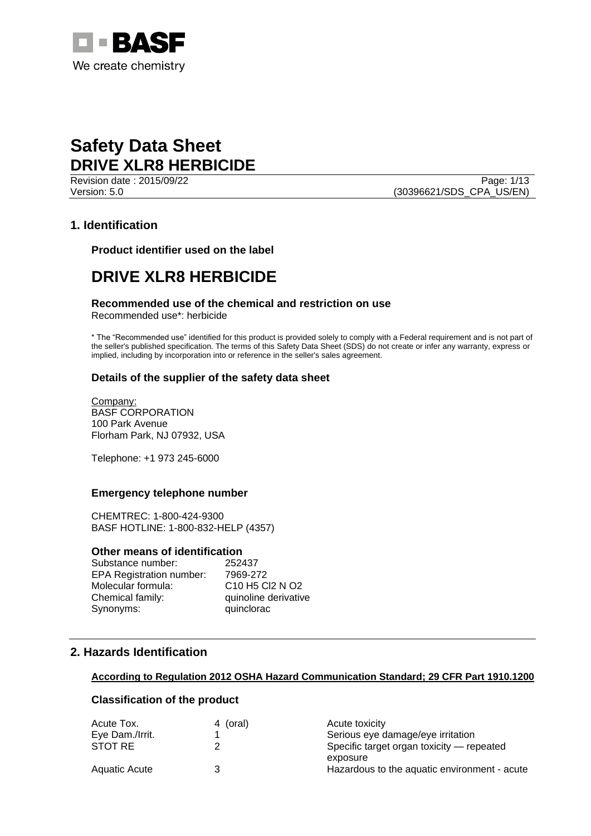

Revision date : 2015/09/22 Page: 1/13 Version: 5.0 (30396621/SDS\_CPA\_US/EN)

# **1. Identification**

**Product identifier used on the label**

# **DRIVE XLR8 HERBICIDE**

### **Recommended use of the chemical and restriction on use**

Recommended use\*: herbicide

\* The "Recommended use" identified for this product is provided solely to comply with a Federal requirement and is not part of the seller's published specification. The terms of this Safety Data Sheet (SDS) do not create or infer any warranty, express or implied, including by incorporation into or reference in the seller's sales agreement.

## **Details of the supplier of the safety data sheet**

Company: BASF CORPORATION 100 Park Avenue Florham Park, NJ 07932, USA

Telephone: +1 973 245-6000

#### **Emergency telephone number**

CHEMTREC: 1-800-424-9300 BASF HOTLINE: 1-800-832-HELP (4357)

#### **Other means of identification**

| Substance number:               | 252437                                                         |
|---------------------------------|----------------------------------------------------------------|
| <b>EPA Registration number:</b> | 7969-272                                                       |
| Molecular formula:              | C <sub>10</sub> H <sub>5</sub> C <sub>12</sub> N <sub>O2</sub> |
| Chemical family:                | quinoline derivative                                           |
| Synonyms:                       | quinclorac                                                     |
|                                 |                                                                |

# **2. Hazards Identification**

#### **According to Regulation 2012 OSHA Hazard Communication Standard; 29 CFR Part 1910.1200**

### **Classification of the product**

| 4 (oral) | Acute toxicity                               |
|----------|----------------------------------------------|
|          | Serious eye damage/eye irritation            |
|          | Specific target organ toxicity — repeated    |
|          | exposure                                     |
|          | Hazardous to the aquatic environment - acute |
|          |                                              |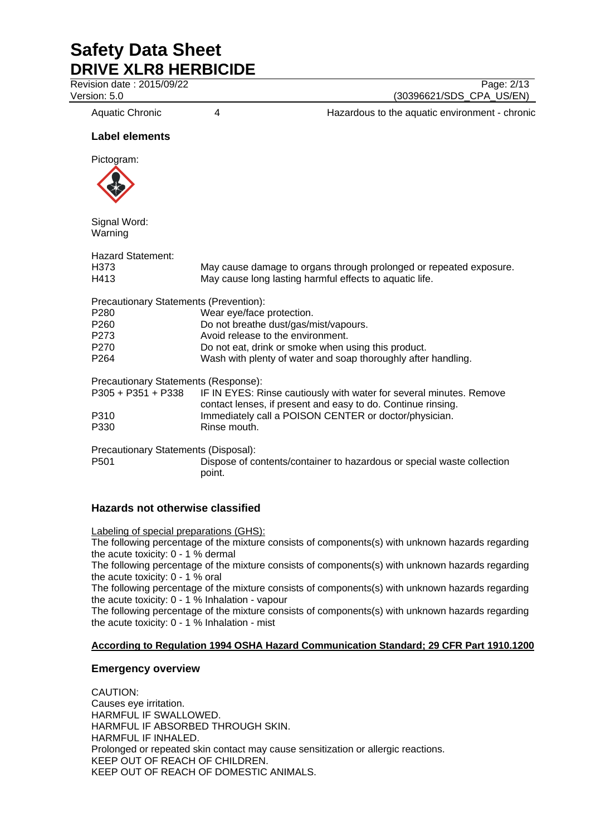Revision date : 2015/09/22 Page: 2/13

Version: 5.0 (30396621/SDS\_CPA\_US/EN)

Aquatic Chronic 4 4 Hazardous to the aquatic environment - chronic

## **Label elements**

Pictogram:



Signal Word: Warning

| <b>Hazard Statement:</b>               |                                                                                                                                                        |
|----------------------------------------|--------------------------------------------------------------------------------------------------------------------------------------------------------|
| H373                                   | May cause damage to organs through prolonged or repeated exposure.                                                                                     |
| H413                                   | May cause long lasting harmful effects to aquatic life.                                                                                                |
| Precautionary Statements (Prevention): |                                                                                                                                                        |
| P280                                   | Wear eye/face protection.                                                                                                                              |
| P260                                   | Do not breathe dust/gas/mist/vapours.                                                                                                                  |
| P273                                   | Avoid release to the environment.                                                                                                                      |
| P270                                   | Do not eat, drink or smoke when using this product.                                                                                                    |
| P264                                   | Wash with plenty of water and soap thoroughly after handling.                                                                                          |
| Precautionary Statements (Response):   |                                                                                                                                                        |
|                                        | P305 + P351 + P338 IF IN EYES: Rinse cautiously with water for several minutes. Remove<br>contact lenses, if present and easy to do. Continue rinsing. |
| P310                                   | Immediately call a POISON CENTER or doctor/physician.                                                                                                  |
| P330                                   | Rinse mouth.                                                                                                                                           |
| Precautionary Statements (Disposal):   |                                                                                                                                                        |
| P501                                   | Dispose of contents/container to hazardous or special waste collection<br>point.                                                                       |

# **Hazards not otherwise classified**

Labeling of special preparations (GHS):

The following percentage of the mixture consists of components(s) with unknown hazards regarding the acute toxicity: 0 - 1 % dermal

The following percentage of the mixture consists of components(s) with unknown hazards regarding the acute toxicity: 0 - 1 % oral

The following percentage of the mixture consists of components(s) with unknown hazards regarding the acute toxicity: 0 - 1 % Inhalation - vapour

The following percentage of the mixture consists of components(s) with unknown hazards regarding the acute toxicity: 0 - 1 % Inhalation - mist

# **According to Regulation 1994 OSHA Hazard Communication Standard; 29 CFR Part 1910.1200**

## **Emergency overview**

CAUTION: Causes eye irritation. HARMFUL IF SWALLOWED. HARMFUL IF ABSORBED THROUGH SKIN. HARMFUL IF INHALED. Prolonged or repeated skin contact may cause sensitization or allergic reactions. KEEP OUT OF REACH OF CHILDREN. KEEP OUT OF REACH OF DOMESTIC ANIMALS.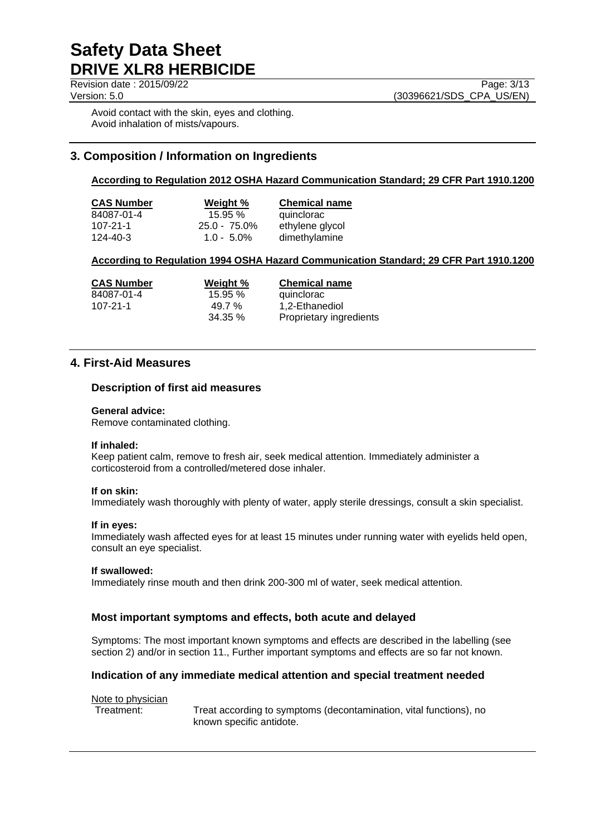Revision date : 2015/09/22 Page: 3/13

Version: 5.0 (30396621/SDS\_CPA\_US/EN)

Avoid contact with the skin, eyes and clothing. Avoid inhalation of mists/vapours.

# **3. Composition / Information on Ingredients**

## **According to Regulation 2012 OSHA Hazard Communication Standard; 29 CFR Part 1910.1200**

| <b>CAS Number</b> | Weight %        | <b>Chemical name</b> |
|-------------------|-----------------|----------------------|
| 84087-01-4        | 15.95%          | quinclorac           |
| $107 - 21 - 1$    | $25.0 - 75.0\%$ | ethylene glycol      |
| 124-40-3          | $1.0 - 5.0\%$   | dimethylamine        |

# **According to Regulation 1994 OSHA Hazard Communication Standard; 29 CFR Part 1910.1200**

| <b>CAS Number</b> | Weight %   | <b>Chemical name</b>    |
|-------------------|------------|-------------------------|
| 84087-01-4        | 15.95%     | quinclorac              |
| 107-21-1          | 49.7 %     | 1.2-Ethanediol          |
|                   | $34.35 \%$ | Proprietary ingredients |

# **4. First-Aid Measures**

### **Description of first aid measures**

#### **General advice:**

Remove contaminated clothing.

#### **If inhaled:**

Keep patient calm, remove to fresh air, seek medical attention. Immediately administer a corticosteroid from a controlled/metered dose inhaler.

#### **If on skin:**

Immediately wash thoroughly with plenty of water, apply sterile dressings, consult a skin specialist.

#### **If in eyes:**

Immediately wash affected eyes for at least 15 minutes under running water with eyelids held open, consult an eye specialist.

#### **If swallowed:**

Immediately rinse mouth and then drink 200-300 ml of water, seek medical attention.

## **Most important symptoms and effects, both acute and delayed**

Symptoms: The most important known symptoms and effects are described in the labelling (see section 2) and/or in section 11., Further important symptoms and effects are so far not known.

## **Indication of any immediate medical attention and special treatment needed**

#### Note to physician

Treatment: Treat according to symptoms (decontamination, vital functions), no known specific antidote.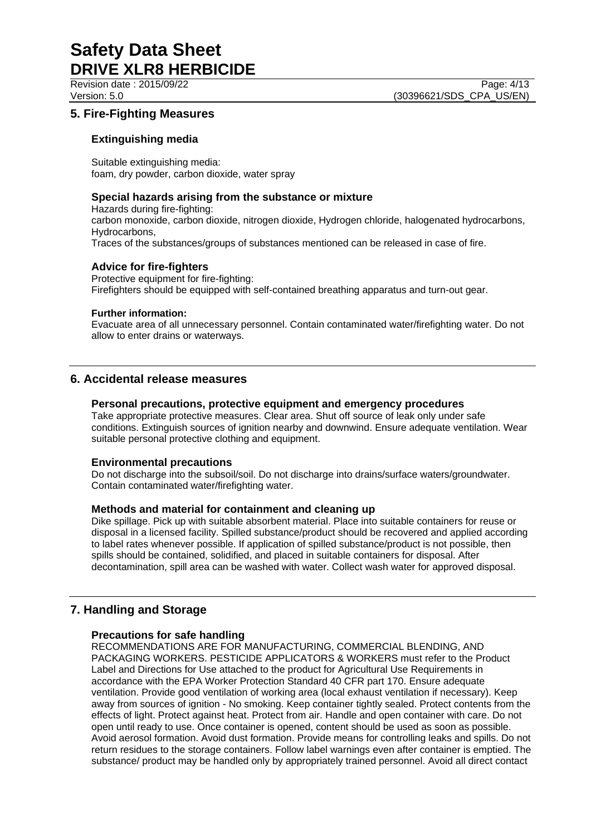Revision date : 2015/09/22 Page: 4/13 Version: 5.0 (30396621/SDS\_CPA\_US/EN)

# **5. Fire-Fighting Measures**

## **Extinguishing media**

Suitable extinguishing media: foam, dry powder, carbon dioxide, water spray

# **Special hazards arising from the substance or mixture**

Hazards during fire-fighting: carbon monoxide, carbon dioxide, nitrogen dioxide, Hydrogen chloride, halogenated hydrocarbons, Hydrocarbons, Traces of the substances/groups of substances mentioned can be released in case of fire.

## **Advice for fire-fighters**

Protective equipment for fire-fighting: Firefighters should be equipped with self-contained breathing apparatus and turn-out gear.

### **Further information:**

Evacuate area of all unnecessary personnel. Contain contaminated water/firefighting water. Do not allow to enter drains or waterways.

# **6. Accidental release measures**

### **Personal precautions, protective equipment and emergency procedures**

Take appropriate protective measures. Clear area. Shut off source of leak only under safe conditions. Extinguish sources of ignition nearby and downwind. Ensure adequate ventilation. Wear suitable personal protective clothing and equipment.

## **Environmental precautions**

Do not discharge into the subsoil/soil. Do not discharge into drains/surface waters/groundwater. Contain contaminated water/firefighting water.

## **Methods and material for containment and cleaning up**

Dike spillage. Pick up with suitable absorbent material. Place into suitable containers for reuse or disposal in a licensed facility. Spilled substance/product should be recovered and applied according to label rates whenever possible. If application of spilled substance/product is not possible, then spills should be contained, solidified, and placed in suitable containers for disposal. After decontamination, spill area can be washed with water. Collect wash water for approved disposal.

# **7. Handling and Storage**

## **Precautions for safe handling**

RECOMMENDATIONS ARE FOR MANUFACTURING, COMMERCIAL BLENDING, AND PACKAGING WORKERS. PESTICIDE APPLICATORS & WORKERS must refer to the Product Label and Directions for Use attached to the product for Agricultural Use Requirements in accordance with the EPA Worker Protection Standard 40 CFR part 170. Ensure adequate ventilation. Provide good ventilation of working area (local exhaust ventilation if necessary). Keep away from sources of ignition - No smoking. Keep container tightly sealed. Protect contents from the effects of light. Protect against heat. Protect from air. Handle and open container with care. Do not open until ready to use. Once container is opened, content should be used as soon as possible. Avoid aerosol formation. Avoid dust formation. Provide means for controlling leaks and spills. Do not return residues to the storage containers. Follow label warnings even after container is emptied. The substance/ product may be handled only by appropriately trained personnel. Avoid all direct contact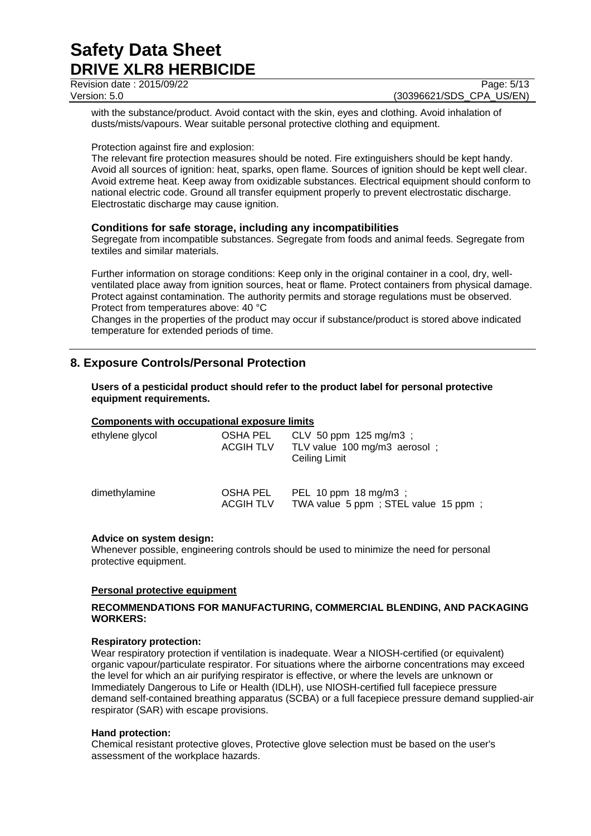Revision date : 2015/09/22 Page: 5/13

with the substance/product. Avoid contact with the skin, eyes and clothing. Avoid inhalation of dusts/mists/vapours. Wear suitable personal protective clothing and equipment.

### Protection against fire and explosion:

The relevant fire protection measures should be noted. Fire extinguishers should be kept handy. Avoid all sources of ignition: heat, sparks, open flame. Sources of ignition should be kept well clear. Avoid extreme heat. Keep away from oxidizable substances. Electrical equipment should conform to national electric code. Ground all transfer equipment properly to prevent electrostatic discharge. Electrostatic discharge may cause ignition.

## **Conditions for safe storage, including any incompatibilities**

Segregate from incompatible substances. Segregate from foods and animal feeds. Segregate from textiles and similar materials.

Further information on storage conditions: Keep only in the original container in a cool, dry, wellventilated place away from ignition sources, heat or flame. Protect containers from physical damage. Protect against contamination. The authority permits and storage regulations must be observed. Protect from temperatures above: 40 °C

Changes in the properties of the product may occur if substance/product is stored above indicated temperature for extended periods of time.

# **8. Exposure Controls/Personal Protection**

#### **Users of a pesticidal product should refer to the product label for personal protective equipment requirements.**

#### **Components with occupational exposure limits**

| ethylene glycol | OSHA PEL<br><b>ACGIH TLV</b> | CLV 50 ppm $125 \text{ mg/m}$ ;<br>TLV value 100 mg/m3 aerosol;<br>Ceiling Limit |
|-----------------|------------------------------|----------------------------------------------------------------------------------|
| dimethylamine   | OSHA PEL<br><b>ACGIH TLV</b> | PEL 10 ppm 18 mg/m3;<br>TWA value 5 ppm; STEL value 15 ppm;                      |

#### **Advice on system design:**

Whenever possible, engineering controls should be used to minimize the need for personal protective equipment.

#### **Personal protective equipment**

### **RECOMMENDATIONS FOR MANUFACTURING, COMMERCIAL BLENDING, AND PACKAGING WORKERS:**

#### **Respiratory protection:**

Wear respiratory protection if ventilation is inadequate. Wear a NIOSH-certified (or equivalent) organic vapour/particulate respirator. For situations where the airborne concentrations may exceed the level for which an air purifying respirator is effective, or where the levels are unknown or Immediately Dangerous to Life or Health (IDLH), use NIOSH-certified full facepiece pressure demand self-contained breathing apparatus (SCBA) or a full facepiece pressure demand supplied-air respirator (SAR) with escape provisions.

#### **Hand protection:**

Chemical resistant protective gloves, Protective glove selection must be based on the user's assessment of the workplace hazards.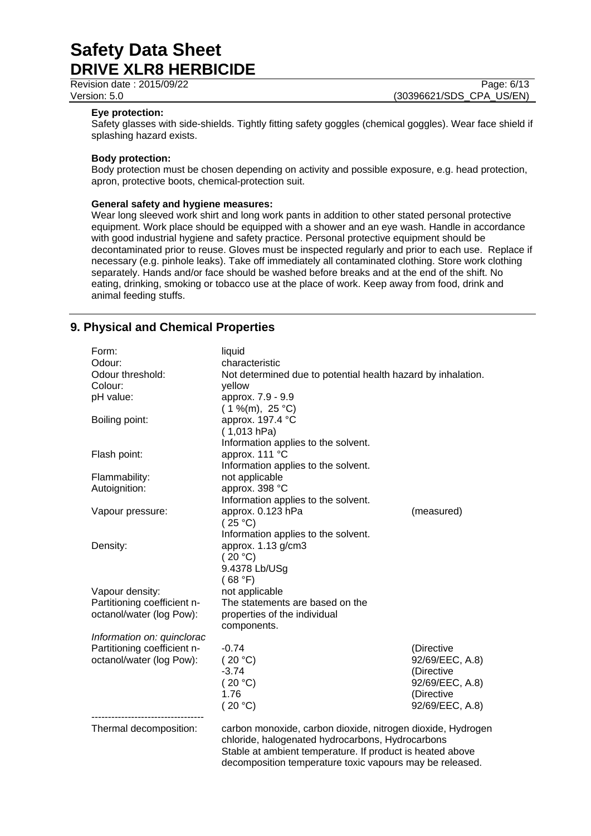Revision date : 2015/09/22 Page: 6/13

Version: 5.0 (30396621/SDS\_CPA\_US/EN)

#### **Eye protection:**

Safety glasses with side-shields. Tightly fitting safety goggles (chemical goggles). Wear face shield if splashing hazard exists.

#### **Body protection:**

Body protection must be chosen depending on activity and possible exposure, e.g. head protection, apron, protective boots, chemical-protection suit.

#### **General safety and hygiene measures:**

Wear long sleeved work shirt and long work pants in addition to other stated personal protective equipment. Work place should be equipped with a shower and an eye wash. Handle in accordance with good industrial hygiene and safety practice. Personal protective equipment should be decontaminated prior to reuse. Gloves must be inspected regularly and prior to each use. Replace if necessary (e.g. pinhole leaks). Take off immediately all contaminated clothing. Store work clothing separately. Hands and/or face should be washed before breaks and at the end of the shift. No eating, drinking, smoking or tobacco use at the place of work. Keep away from food, drink and animal feeding stuffs.

# **9. Physical and Chemical Properties**

| Form:<br>Odour:<br>Odour threshold:<br>Colour:<br>pH value:<br>Boiling point: | liquid<br>characteristic<br>Not determined due to potential health hazard by inhalation.<br>yellow<br>approx. 7.9 - 9.9<br>$(1\%$ (m), 25 °C)<br>approx. 197.4 °C<br>(1,013 hPa) |                                                                                                 |
|-------------------------------------------------------------------------------|----------------------------------------------------------------------------------------------------------------------------------------------------------------------------------|-------------------------------------------------------------------------------------------------|
| Flash point:                                                                  | Information applies to the solvent.<br>approx. 111 °C<br>Information applies to the solvent.                                                                                     |                                                                                                 |
| Flammability:<br>Autoignition:                                                | not applicable<br>approx. 398 °C                                                                                                                                                 |                                                                                                 |
| Vapour pressure:                                                              | Information applies to the solvent.<br>approx. 0.123 hPa<br>(25 °C)                                                                                                              | (measured)                                                                                      |
| Density:                                                                      | Information applies to the solvent.<br>approx. 1.13 g/cm3<br>(20 °C)<br>9.4378 Lb/USg<br>(68 °F)                                                                                 |                                                                                                 |
| Vapour density:                                                               | not applicable                                                                                                                                                                   |                                                                                                 |
| Partitioning coefficient n-<br>octanol/water (log Pow):                       | The statements are based on the<br>properties of the individual<br>components.                                                                                                   |                                                                                                 |
| Information on: quinclorac                                                    |                                                                                                                                                                                  |                                                                                                 |
| Partitioning coefficient n-<br>octanol/water (log Pow):                       | $-0.74$<br>(20 °C)<br>$-3.74$<br>(20 °C)<br>1.76<br>(20 °C)                                                                                                                      | (Directive<br>92/69/EEC, A.8)<br>(Directive<br>92/69/EEC, A.8)<br>(Directive<br>92/69/EEC, A.8) |
| Thermal decomposition:                                                        | carbon monoxide, carbon dioxide, nitrogen dioxide, Hydrogen<br>chloride, halogenated hydrocarbons, Hydrocarbons                                                                  |                                                                                                 |

Stable at ambient temperature. If product is heated above decomposition temperature toxic vapours may be released.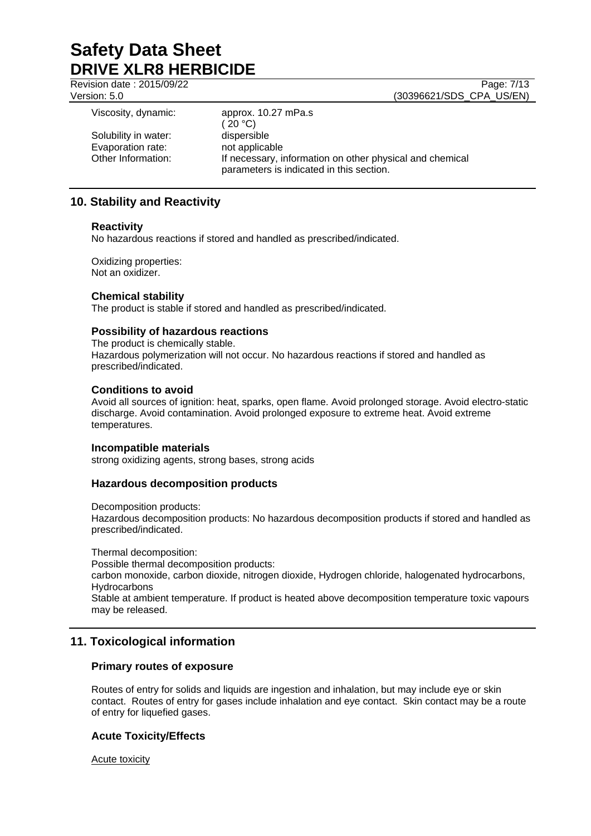Revision date : 2015/09/22 Page: 7/13

Version: 5.0 (30396621/SDS\_CPA\_US/EN)

| Viscosity, dynamic:                                             | approx. 10.27 mPa.s<br>(20 °C)                                                                                                        |
|-----------------------------------------------------------------|---------------------------------------------------------------------------------------------------------------------------------------|
| Solubility in water:<br>Evaporation rate:<br>Other Information: | dispersible<br>not applicable<br>If necessary, information on other physical and chemical<br>parameters is indicated in this section. |

# **10. Stability and Reactivity**

### **Reactivity**

No hazardous reactions if stored and handled as prescribed/indicated.

Oxidizing properties: Not an oxidizer.

## **Chemical stability**

The product is stable if stored and handled as prescribed/indicated.

# **Possibility of hazardous reactions**

The product is chemically stable. Hazardous polymerization will not occur. No hazardous reactions if stored and handled as prescribed/indicated.

### **Conditions to avoid**

Avoid all sources of ignition: heat, sparks, open flame. Avoid prolonged storage. Avoid electro-static discharge. Avoid contamination. Avoid prolonged exposure to extreme heat. Avoid extreme temperatures.

#### **Incompatible materials**

strong oxidizing agents, strong bases, strong acids

## **Hazardous decomposition products**

Decomposition products:

Hazardous decomposition products: No hazardous decomposition products if stored and handled as prescribed/indicated.

Thermal decomposition:

Possible thermal decomposition products:

carbon monoxide, carbon dioxide, nitrogen dioxide, Hydrogen chloride, halogenated hydrocarbons, **Hydrocarbons** 

Stable at ambient temperature. If product is heated above decomposition temperature toxic vapours may be released.

# **11. Toxicological information**

## **Primary routes of exposure**

Routes of entry for solids and liquids are ingestion and inhalation, but may include eye or skin contact. Routes of entry for gases include inhalation and eye contact. Skin contact may be a route of entry for liquefied gases.

## **Acute Toxicity/Effects**

Acute toxicity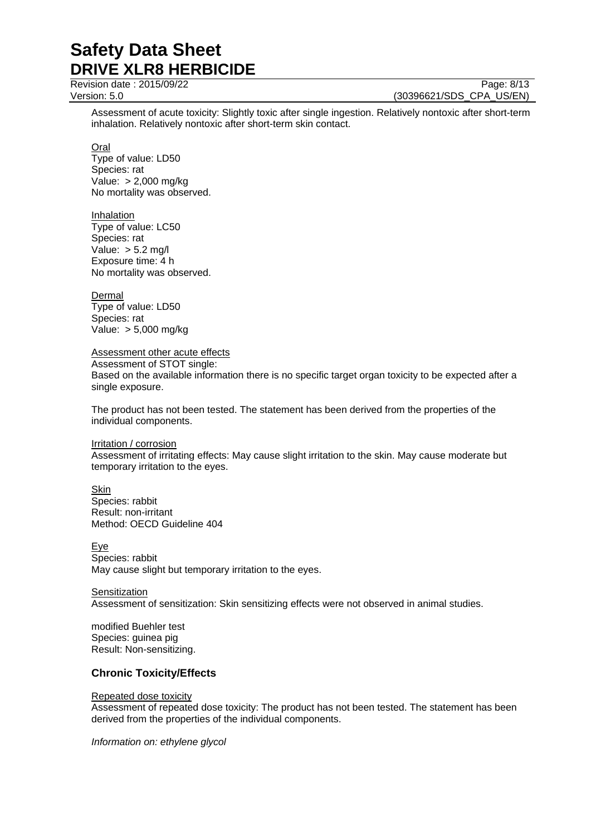Revision date : 2015/09/22 Page: 8/13

Version: 5.0 (30396621/SDS\_CPA\_US/EN)

Assessment of acute toxicity: Slightly toxic after single ingestion. Relatively nontoxic after short-term inhalation. Relatively nontoxic after short-term skin contact.

Oral

Type of value: LD50 Species: rat Value: > 2,000 mg/kg No mortality was observed.

Inhalation

Type of value: LC50 Species: rat Value: > 5.2 mg/l Exposure time: 4 h No mortality was observed.

**Dermal** 

Type of value: LD50 Species: rat Value: > 5,000 mg/kg

Assessment other acute effects

Assessment of STOT single: Based on the available information there is no specific target organ toxicity to be expected after a single exposure.

The product has not been tested. The statement has been derived from the properties of the individual components.

**Irritation / corrosion** 

Assessment of irritating effects: May cause slight irritation to the skin. May cause moderate but temporary irritation to the eyes.

Skin

Species: rabbit Result: non-irritant Method: OECD Guideline 404

Eye Species: rabbit May cause slight but temporary irritation to the eyes.

**Sensitization** Assessment of sensitization: Skin sensitizing effects were not observed in animal studies.

modified Buehler test Species: guinea pig Result: Non-sensitizing.

# **Chronic Toxicity/Effects**

## Repeated dose toxicity

Assessment of repeated dose toxicity: The product has not been tested. The statement has been derived from the properties of the individual components.

*Information on: ethylene glycol*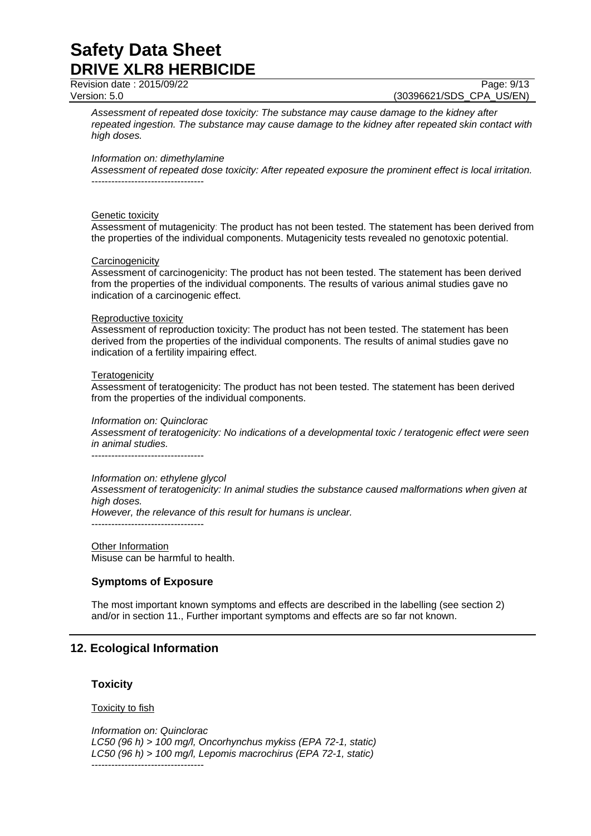Revision date : 2015/09/22 Page: 9/13

Version: 5.0 (30396621/SDS\_CPA\_US/EN)

*Assessment of repeated dose toxicity: The substance may cause damage to the kidney after repeated ingestion. The substance may cause damage to the kidney after repeated skin contact with high doses.*

#### *Information on: dimethylamine*

*Assessment of repeated dose toxicity: After repeated exposure the prominent effect is local irritation.* ----------------------------------

#### Genetic toxicity

Assessment of mutagenicity: The product has not been tested. The statement has been derived from the properties of the individual components. Mutagenicity tests revealed no genotoxic potential.

#### **Carcinogenicity**

Assessment of carcinogenicity: The product has not been tested. The statement has been derived from the properties of the individual components. The results of various animal studies gave no indication of a carcinogenic effect.

#### Reproductive toxicity

Assessment of reproduction toxicity: The product has not been tested. The statement has been derived from the properties of the individual components. The results of animal studies gave no indication of a fertility impairing effect.

#### **Teratogenicity**

Assessment of teratogenicity: The product has not been tested. The statement has been derived from the properties of the individual components.

#### *Information on: Quinclorac*

*Assessment of teratogenicity: No indications of a developmental toxic / teratogenic effect were seen in animal studies.*

----------------------------------

#### *Information on: ethylene glycol*

*Assessment of teratogenicity: In animal studies the substance caused malformations when given at high doses.*

*However, the relevance of this result for humans is unclear.*

----------------------------------

Other Information Misuse can be harmful to health.

## **Symptoms of Exposure**

The most important known symptoms and effects are described in the labelling (see section 2) and/or in section 11., Further important symptoms and effects are so far not known.

## **12. Ecological Information**

#### **Toxicity**

#### Toxicity to fish

*Information on: Quinclorac LC50 (96 h) > 100 mg/l, Oncorhynchus mykiss (EPA 72-1, static) LC50 (96 h) > 100 mg/l, Lepomis macrochirus (EPA 72-1, static)* ----------------------------------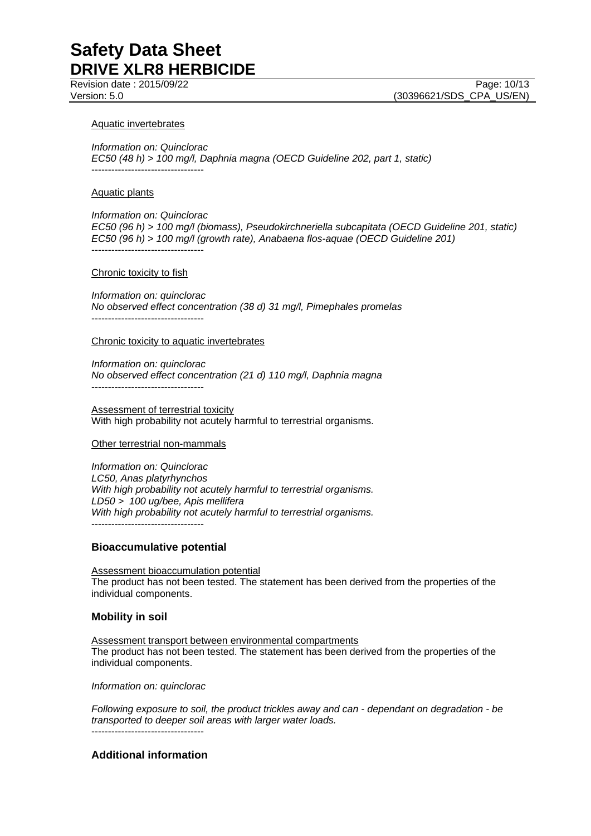Revision date : 2015/09/22 Page: 10/13

Version: 5.0 (30396621/SDS\_CPA\_US/EN)

#### Aquatic invertebrates

*Information on: Quinclorac EC50 (48 h) > 100 mg/l, Daphnia magna (OECD Guideline 202, part 1, static)* ----------------------------------

#### Aquatic plants

*Information on: Quinclorac EC50 (96 h) > 100 mg/l (biomass), Pseudokirchneriella subcapitata (OECD Guideline 201, static) EC50 (96 h) > 100 mg/l (growth rate), Anabaena flos-aquae (OECD Guideline 201)* ----------------------------------

#### Chronic toxicity to fish

*Information on: quinclorac No observed effect concentration (38 d) 31 mg/l, Pimephales promelas* ----------------------------------

#### Chronic toxicity to aquatic invertebrates

*Information on: quinclorac No observed effect concentration (21 d) 110 mg/l, Daphnia magna* ----------------------------------

Assessment of terrestrial toxicity With high probability not acutely harmful to terrestrial organisms.

#### Other terrestrial non-mammals

*Information on: Quinclorac LC50, Anas platyrhynchos With high probability not acutely harmful to terrestrial organisms. LD50 > 100 ug/bee, Apis mellifera With high probability not acutely harmful to terrestrial organisms.* ----------------------------------

#### **Bioaccumulative potential**

Assessment bioaccumulation potential The product has not been tested. The statement has been derived from the properties of the individual components.

#### **Mobility in soil**

Assessment transport between environmental compartments The product has not been tested. The statement has been derived from the properties of the individual components.

*Information on: quinclorac*

*Following exposure to soil, the product trickles away and can - dependant on degradation - be transported to deeper soil areas with larger water loads.* ----------------------------------

# **Additional information**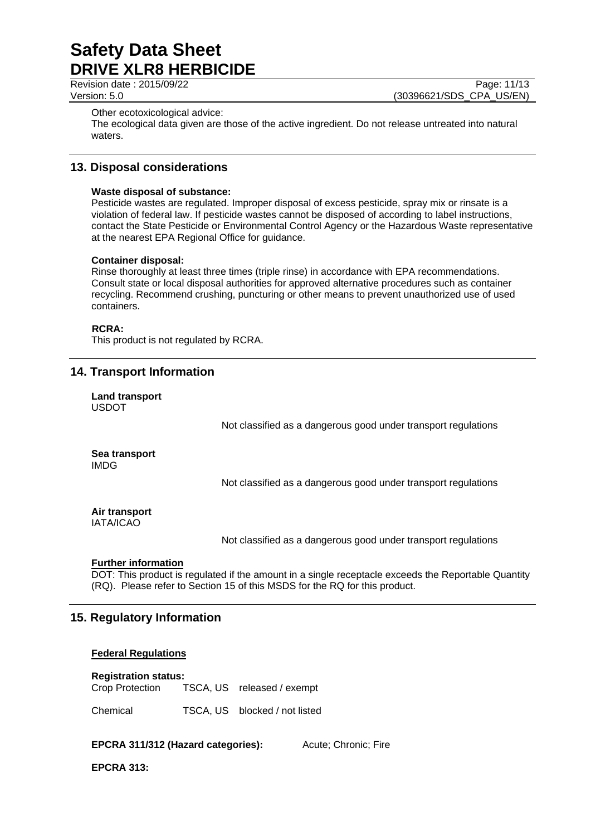Revision date : 2015/09/22 Page: 11/13

Version: 5.0 **(30396621/SDS\_CPA\_US/EN)** 

Other ecotoxicological advice:

The ecological data given are those of the active ingredient. Do not release untreated into natural waters.

# **13. Disposal considerations**

#### **Waste disposal of substance:**

Pesticide wastes are regulated. Improper disposal of excess pesticide, spray mix or rinsate is a violation of federal law. If pesticide wastes cannot be disposed of according to label instructions, contact the State Pesticide or Environmental Control Agency or the Hazardous Waste representative at the nearest EPA Regional Office for guidance.

#### **Container disposal:**

Rinse thoroughly at least three times (triple rinse) in accordance with EPA recommendations. Consult state or local disposal authorities for approved alternative procedures such as container recycling. Recommend crushing, puncturing or other means to prevent unauthorized use of used containers.

#### **RCRA:**

This product is not regulated by RCRA.

# **14. Transport Information**

**Land transport** USDOT

Not classified as a dangerous good under transport regulations

**Sea transport** IMDG

Not classified as a dangerous good under transport regulations

# **Air transport**

IATA/ICAO

Not classified as a dangerous good under transport regulations

#### **Further information**

DOT: This product is regulated if the amount in a single receptacle exceeds the Reportable Quantity (RQ). Please refer to Section 15 of this MSDS for the RQ for this product.

# **15. Regulatory Information**

## **Federal Regulations**

#### **Registration status:**

Crop Protection TSCA, US released / exempt

Chemical TSCA, US blocked / not listed

**EPCRA 311/312 (Hazard categories):** Acute: Chronic: Fire

**EPCRA 313:**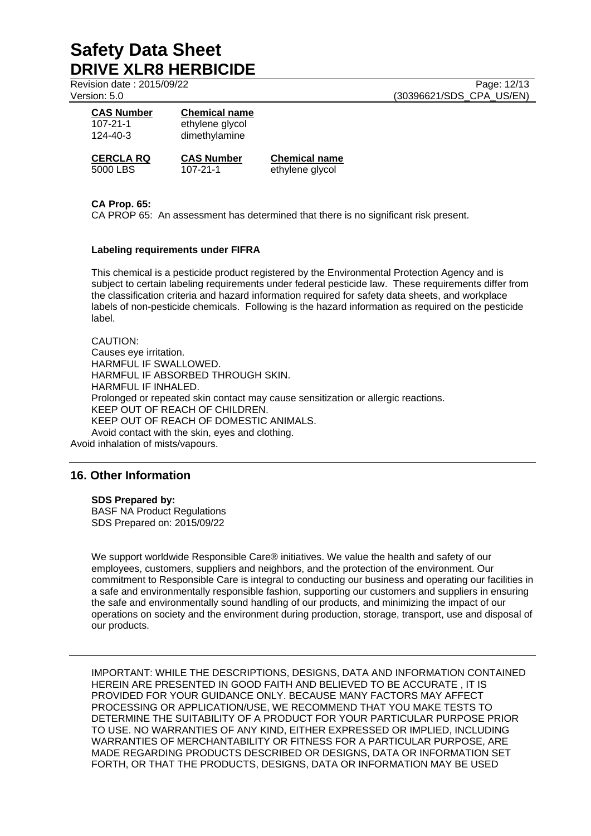Revision date : 2015/09/22 Page: 12/13

Version: 5.0 (30396621/SDS\_CPA\_US/EN)

| <b>CAS Number</b><br>$107 - 21 - 1$<br>$124 - 40 - 3$ | <b>Chemical name</b><br>ethylene glycol<br>dimethylamine |                     |
|-------------------------------------------------------|----------------------------------------------------------|---------------------|
| <b>CERCLA RQ</b>                                      | <b>CAS Number</b>                                        | <b>Chemical nam</b> |
| 5000 LBS                                              | $107 - 21 - 1$                                           | ethylene glycol     |

**CERC R CAS EXECUTE** 

# **CA Prop. 65:**

CA PROP 65: An assessment has determined that there is no significant risk present.

#### **Labeling requirements under FIFRA**

This chemical is a pesticide product registered by the Environmental Protection Agency and is subject to certain labeling requirements under federal pesticide law. These requirements differ from the classification criteria and hazard information required for safety data sheets, and workplace labels of non-pesticide chemicals. Following is the hazard information as required on the pesticide label.

CAUTION: Causes eye irritation. HARMFUL IF SWALLOWED. HARMFUL IF ABSORBED THROUGH SKIN. HARMFUL IF INHALED. Prolonged or repeated skin contact may cause sensitization or allergic reactions. KEEP OUT OF REACH OF CHILDREN. KEEP OUT OF REACH OF DOMESTIC ANIMALS. Avoid contact with the skin, eyes and clothing. Avoid inhalation of mists/vapours.

# **16. Other Information**

#### **SDS Prepared by:**

BASF NA Product Regulations SDS Prepared on: 2015/09/22

We support worldwide Responsible Care® initiatives. We value the health and safety of our employees, customers, suppliers and neighbors, and the protection of the environment. Our commitment to Responsible Care is integral to conducting our business and operating our facilities in a safe and environmentally responsible fashion, supporting our customers and suppliers in ensuring the safe and environmentally sound handling of our products, and minimizing the impact of our operations on society and the environment during production, storage, transport, use and disposal of our products.

IMPORTANT: WHILE THE DESCRIPTIONS, DESIGNS, DATA AND INFORMATION CONTAINED HEREIN ARE PRESENTED IN GOOD FAITH AND BELIEVED TO BE ACCURATE , IT IS PROVIDED FOR YOUR GUIDANCE ONLY. BECAUSE MANY FACTORS MAY AFFECT PROCESSING OR APPLICATION/USE, WE RECOMMEND THAT YOU MAKE TESTS TO DETERMINE THE SUITABILITY OF A PRODUCT FOR YOUR PARTICULAR PURPOSE PRIOR TO USE. NO WARRANTIES OF ANY KIND, EITHER EXPRESSED OR IMPLIED, INCLUDING WARRANTIES OF MERCHANTABILITY OR FITNESS FOR A PARTICULAR PURPOSE, ARE MADE REGARDING PRODUCTS DESCRIBED OR DESIGNS, DATA OR INFORMATION SET FORTH, OR THAT THE PRODUCTS, DESIGNS, DATA OR INFORMATION MAY BE USED